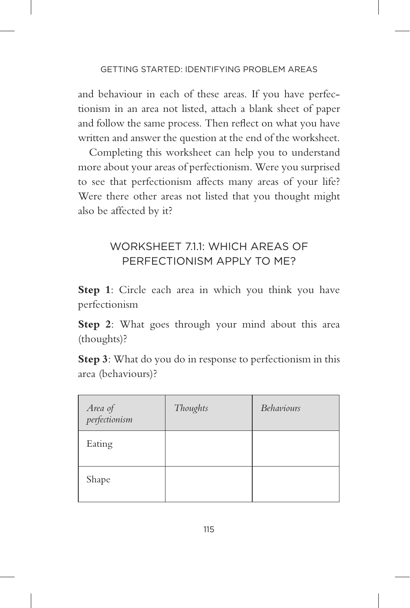## WORKSHEET 711: WHICH AREAS OF PERFECTIONISM APPLY TO ME?

- **Step 1**: Circle each area in which you think you have perfectionism
- **Step 2**: What goes through your mind about this area (thoughts)?
- **Step 3**: What do you do in response to perfectionism in this area (behaviours)?

| Area of<br>perfectionism | Thoughts | <b>Behaviours</b> |
|--------------------------|----------|-------------------|
| Eating                   |          |                   |
| Shape                    |          |                   |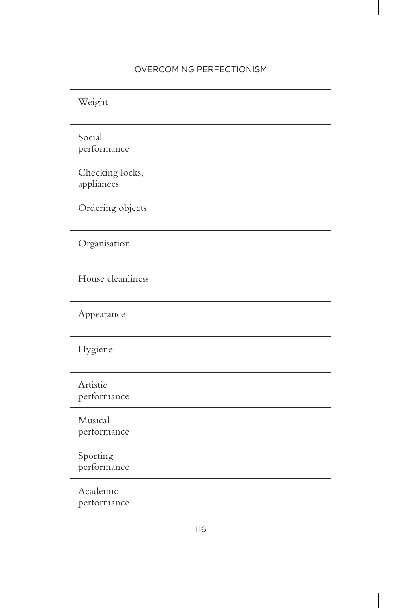| Weight                        |  |
|-------------------------------|--|
| Social<br>performance         |  |
| Checking locks,<br>appliances |  |
| Ordering objects              |  |
| Organisation                  |  |
| House cleanliness             |  |
| Appearance                    |  |
| Hygiene                       |  |
| Artistic<br>performance       |  |
| Musical<br>performance        |  |
| Sporting<br>performance       |  |
| Academic<br>performance       |  |